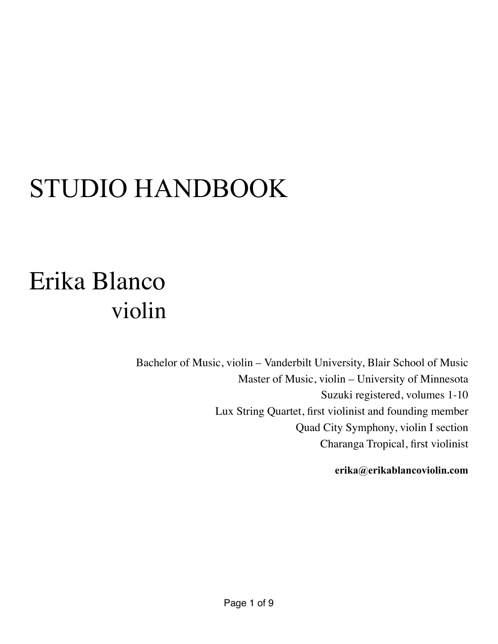# STUDIO HANDBOOK

# Erika Blanco violin

Bachelor of Music, violin – Vanderbilt University, Blair School of Music Master of Music, violin – University of Minnesota Suzuki registered, volumes 1-10 Lux String Quartet, first violinist and founding member Quad City Symphony, violin I section Charanga Tropical, first violinist

**[erika@erikablancoviolin.com](mailto:erika@erikablancoviolin.com?subject=)**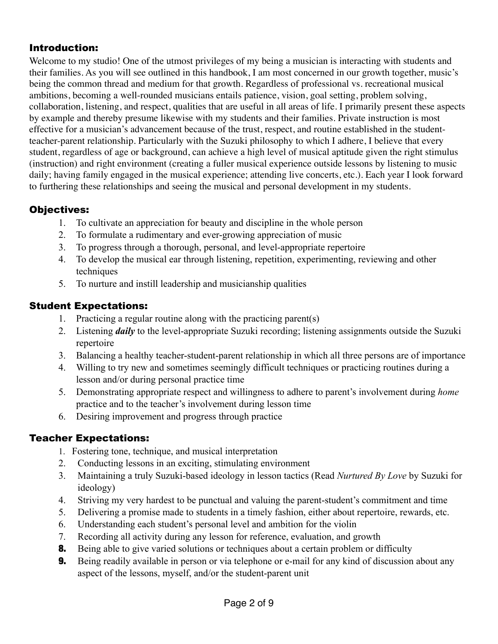#### Introduction:

Welcome to my studio! One of the utmost privileges of my being a musician is interacting with students and their families. As you will see outlined in this handbook, I am most concerned in our growth together, music's being the common thread and medium for that growth. Regardless of professional vs. recreational musical ambitions, becoming a well-rounded musicians entails patience, vision, goal setting, problem solving, collaboration, listening, and respect, qualities that are useful in all areas of life. I primarily present these aspects by example and thereby presume likewise with my students and their families. Private instruction is most effective for a musician's advancement because of the trust, respect, and routine established in the studentteacher-parent relationship. Particularly with the Suzuki philosophy to which I adhere, I believe that every student, regardless of age or background, can achieve a high level of musical aptitude given the right stimulus (instruction) and right environment (creating a fuller musical experience outside lessons by listening to music daily; having family engaged in the musical experience; attending live concerts, etc.). Each year I look forward to furthering these relationships and seeing the musical and personal development in my students.

# Objectives:

- 1. To cultivate an appreciation for beauty and discipline in the whole person
- 2. To formulate a rudimentary and ever-growing appreciation of music
- 3. To progress through a thorough, personal, and level-appropriate repertoire
- 4. To develop the musical ear through listening, repetition, experimenting, reviewing and other techniques
- 5. To nurture and instill leadership and musicianship qualities

# Student Expectations:

- 1. Practicing a regular routine along with the practicing parent(s)
- 2. Listening *daily* to the level-appropriate Suzuki recording; listening assignments outside the Suzuki repertoire
- 3. Balancing a healthy teacher-student-parent relationship in which all three persons are of importance
- 4. Willing to try new and sometimes seemingly difficult techniques or practicing routines during a lesson and/or during personal practice time
- 5. Demonstrating appropriate respect and willingness to adhere to parent's involvement during *home* practice and to the teacher's involvement during lesson time
- 6. Desiring improvement and progress through practice

# Teacher Expectations:

- 1. Fostering tone, technique, and musical interpretation
- 2. Conducting lessons in an exciting, stimulating environment
- 3. Maintaining a truly Suzuki-based ideology in lesson tactics (Read *Nurtured By Love* by Suzuki for ideology)
- 4. Striving my very hardest to be punctual and valuing the parent-student's commitment and time
- 5. Delivering a promise made to students in a timely fashion, either about repertoire, rewards, etc.
- 6. Understanding each student's personal level and ambition for the violin
- 7. Recording all activity during any lesson for reference, evaluation, and growth
- 8. Being able to give varied solutions or techniques about a certain problem or difficulty
- **9.** Being readily available in person or via telephone or e-mail for any kind of discussion about any aspect of the lessons, myself, and/or the student-parent unit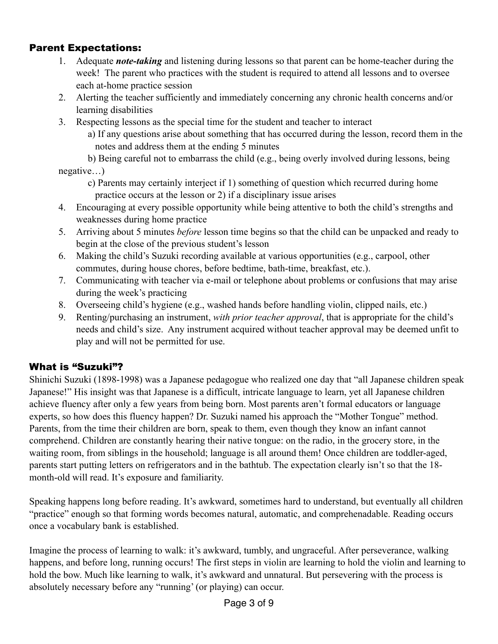#### Parent Expectations:

- 1. Adequate *note-taking* and listening during lessons so that parent can be home-teacher during the week! The parent who practices with the student is required to attend all lessons and to oversee each at-home practice session
- 2. Alerting the teacher sufficiently and immediately concerning any chronic health concerns and/or learning disabilities
- 3. Respecting lessons as the special time for the student and teacher to interact
	- a) If any questions arise about something that has occurred during the lesson, record them in the notes and address them at the ending 5 minutes
- b) Being careful not to embarrass the child (e.g., being overly involved during lessons, being negative…)
	- c) Parents may certainly interject if 1) something of question which recurred during home practice occurs at the lesson or 2) if a disciplinary issue arises
- 4. Encouraging at every possible opportunity while being attentive to both the child's strengths and weaknesses during home practice
- 5. Arriving about 5 minutes *before* lesson time begins so that the child can be unpacked and ready to begin at the close of the previous student's lesson
- 6. Making the child's Suzuki recording available at various opportunities (e.g., carpool, other commutes, during house chores, before bedtime, bath-time, breakfast, etc.).
- 7. Communicating with teacher via e-mail or telephone about problems or confusions that may arise during the week's practicing
- 8. Overseeing child's hygiene (e.g., washed hands before handling violin, clipped nails, etc.)
- 9. Renting/purchasing an instrument, *with prior teacher approval*, that is appropriate for the child's needs and child's size. Any instrument acquired without teacher approval may be deemed unfit to play and will not be permitted for use.

# What is "Suzuki"?

Shinichi Suzuki (1898-1998) was a Japanese pedagogue who realized one day that "all Japanese children speak Japanese!" His insight was that Japanese is a difficult, intricate language to learn, yet all Japanese children achieve fluency after only a few years from being born. Most parents aren't formal educators or language experts, so how does this fluency happen? Dr. Suzuki named his approach the "Mother Tongue" method. Parents, from the time their children are born, speak to them, even though they know an infant cannot comprehend. Children are constantly hearing their native tongue: on the radio, in the grocery store, in the waiting room, from siblings in the household; language is all around them! Once children are toddler-aged, parents start putting letters on refrigerators and in the bathtub. The expectation clearly isn't so that the 18 month-old will read. It's exposure and familiarity.

Speaking happens long before reading. It's awkward, sometimes hard to understand, but eventually all children "practice" enough so that forming words becomes natural, automatic, and comprehenadable. Reading occurs once a vocabulary bank is established.

Imagine the process of learning to walk: it's awkward, tumbly, and ungraceful. After perseverance, walking happens, and before long, running occurs! The first steps in violin are learning to hold the violin and learning to hold the bow. Much like learning to walk, it's awkward and unnatural. But persevering with the process is absolutely necessary before any "running' (or playing) can occur.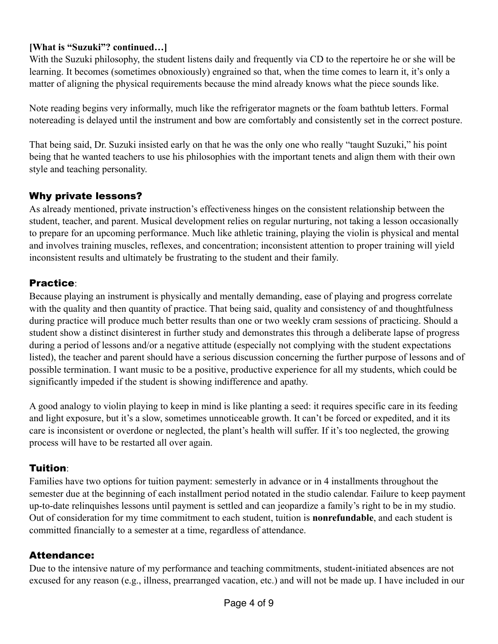#### **[What is "Suzuki"? continued…]**

With the Suzuki philosophy, the student listens daily and frequently via CD to the repertoire he or she will be learning. It becomes (sometimes obnoxiously) engrained so that, when the time comes to learn it, it's only a matter of aligning the physical requirements because the mind already knows what the piece sounds like.

Note reading begins very informally, much like the refrigerator magnets or the foam bathtub letters. Formal notereading is delayed until the instrument and bow are comfortably and consistently set in the correct posture.

That being said, Dr. Suzuki insisted early on that he was the only one who really "taught Suzuki," his point being that he wanted teachers to use his philosophies with the important tenets and align them with their own style and teaching personality.

# Why private lessons?

As already mentioned, private instruction's effectiveness hinges on the consistent relationship between the student, teacher, and parent. Musical development relies on regular nurturing, not taking a lesson occasionally to prepare for an upcoming performance. Much like athletic training, playing the violin is physical and mental and involves training muscles, reflexes, and concentration; inconsistent attention to proper training will yield inconsistent results and ultimately be frustrating to the student and their family.

# Practice:

Because playing an instrument is physically and mentally demanding, ease of playing and progress correlate with the quality and then quantity of practice. That being said, quality and consistency of and thoughtfulness during practice will produce much better results than one or two weekly cram sessions of practicing. Should a student show a distinct disinterest in further study and demonstrates this through a deliberate lapse of progress during a period of lessons and/or a negative attitude (especially not complying with the student expectations listed), the teacher and parent should have a serious discussion concerning the further purpose of lessons and of possible termination. I want music to be a positive, productive experience for all my students, which could be significantly impeded if the student is showing indifference and apathy.

A good analogy to violin playing to keep in mind is like planting a seed: it requires specific care in its feeding and light exposure, but it's a slow, sometimes unnoticeable growth. It can't be forced or expedited, and it its care is inconsistent or overdone or neglected, the plant's health will suffer. If it's too neglected, the growing process will have to be restarted all over again.

# Tuition:

Families have two options for tuition payment: semesterly in advance or in 4 installments throughout the semester due at the beginning of each installment period notated in the studio calendar. Failure to keep payment up-to-date relinquishes lessons until payment is settled and can jeopardize a family's right to be in my studio. Out of consideration for my time commitment to each student, tuition is **nonrefundable**, and each student is committed financially to a semester at a time, regardless of attendance.

# Attendance:

Due to the intensive nature of my performance and teaching commitments, student-initiated absences are not excused for any reason (e.g., illness, prearranged vacation, etc.) and will not be made up. I have included in our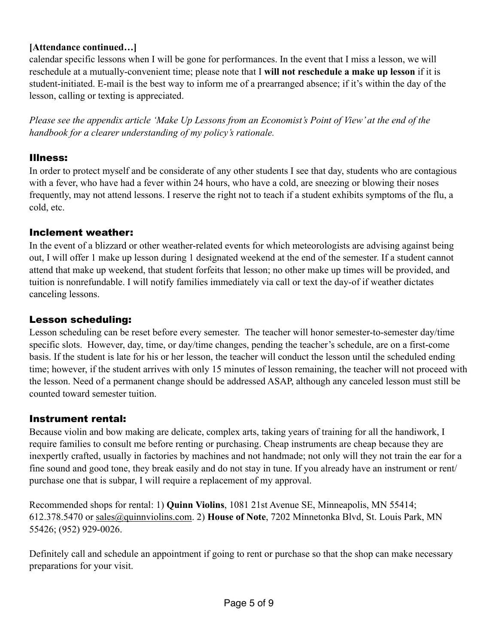#### **[Attendance continued…]**

calendar specific lessons when I will be gone for performances. In the event that I miss a lesson, we will reschedule at a mutually-convenient time; please note that I **will not reschedule a make up lesson** if it is student-initiated. E-mail is the best way to inform me of a prearranged absence; if it's within the day of the lesson, calling or texting is appreciated.

*Please see the appendix article 'Make Up Lessons from an Economist's Point of View' at the end of the handbook for a clearer understanding of my policy's rationale.* 

#### Illness:

In order to protect myself and be considerate of any other students I see that day, students who are contagious with a fever, who have had a fever within 24 hours, who have a cold, are sneezing or blowing their noses frequently, may not attend lessons. I reserve the right not to teach if a student exhibits symptoms of the flu, a cold, etc.

#### Inclement weather:

In the event of a blizzard or other weather-related events for which meteorologists are advising against being out, I will offer 1 make up lesson during 1 designated weekend at the end of the semester. If a student cannot attend that make up weekend, that student forfeits that lesson; no other make up times will be provided, and tuition is nonrefundable. I will notify families immediately via call or text the day-of if weather dictates canceling lessons.

#### Lesson scheduling:

Lesson scheduling can be reset before every semester. The teacher will honor semester-to-semester day/time specific slots. However, day, time, or day/time changes, pending the teacher's schedule, are on a first-come basis. If the student is late for his or her lesson, the teacher will conduct the lesson until the scheduled ending time; however, if the student arrives with only 15 minutes of lesson remaining, the teacher will not proceed with the lesson. Need of a permanent change should be addressed ASAP, although any canceled lesson must still be counted toward semester tuition.

#### Instrument rental:

Because violin and bow making are delicate, complex arts, taking years of training for all the handiwork, I require families to consult me before renting or purchasing. Cheap instruments are cheap because they are inexpertly crafted, usually in factories by machines and not handmade; not only will they not train the ear for a fine sound and good tone, they break easily and do not stay in tune. If you already have an instrument or rent/ purchase one that is subpar, I will require a replacement of my approval.

Recommended shops for rental: 1) **Quinn Violins**, 1081 21st Avenue SE, Minneapolis, MN 55414; 612.378.5470 or [sales@quinnviolins.com](mailto:sales@quinnviolins.com). 2) **House of Note**, 7202 Minnetonka Blvd, St. Louis Park, MN 55426; (952) 929-0026.

Definitely call and schedule an appointment if going to rent or purchase so that the shop can make necessary preparations for your visit.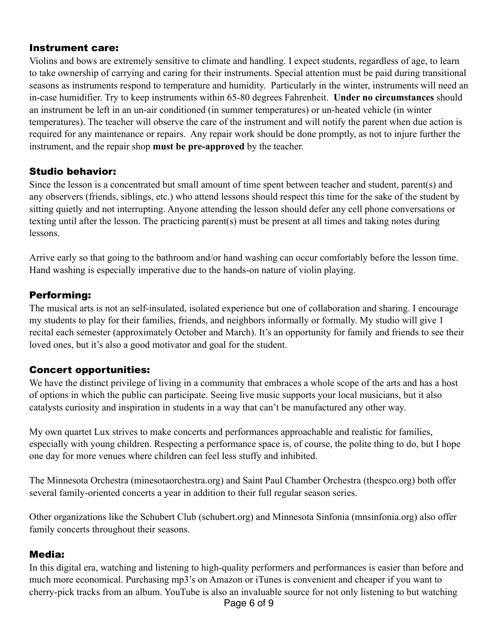#### Instrument care:

Violins and bows are extremely sensitive to climate and handling. I expect students, regardless of age, to learn to take ownership of carrying and caring for their instruments. Special attention must be paid during transitional seasons as instruments respond to temperature and humidity. Particularly in the winter, instruments will need an in-case humidifier. Try to keep instruments within 65-80 degrees Fahrenheit. **Under no circumstances** should an instrument be left in an un-air conditioned (in summer temperatures) or un-heated vehicle (in winter temperatures). The teacher will observe the care of the instrument and will notify the parent when due action is required for any maintenance or repairs. Any repair work should be done promptly, as not to injure further the instrument, and the repair shop **must be pre-approved** by the teacher.

#### Studio behavior:

Since the lesson is a concentrated but small amount of time spent between teacher and student, parent(s) and any observers (friends, siblings, etc.) who attend lessons should respect this time for the sake of the student by sitting quietly and not interrupting. Anyone attending the lesson should defer any cell phone conversations or texting until after the lesson. The practicing parent(s) must be present at all times and taking notes during lessons.

Arrive early so that going to the bathroom and/or hand washing can occur comfortably before the lesson time. Hand washing is especially imperative due to the hands-on nature of violin playing.

# Performing:

The musical arts is not an self-insulated, isolated experience but one of collaboration and sharing. I encourage my students to play for their families, friends, and neighbors informally or formally. My studio will give 1 recital each semester (approximately October and March). It's an opportunity for family and friends to see their loved ones, but it's also a good motivator and goal for the student.

# Concert opportunities:

We have the distinct privilege of living in a community that embraces a whole scope of the arts and has a host of options in which the public can participate. Seeing live music supports your local musicians, but it also catalysts curiosity and inspiration in students in a way that can't be manufactured any other way.

My own quartet Lux strives to make concerts and performances approachable and realistic for families, especially with young children. Respecting a performance space is, of course, the polite thing to do, but I hope one day for more venues where children can feel less stuffy and inhibited.

The Minnesota Orchestra ([minesotaorchestra.org](http://minesotaorchestra.org)) and Saint Paul Chamber Orchestra ([thespco.org](http://thespco.org)) both offer several family-oriented concerts a year in addition to their full regular season series.

Other organizations like the Schubert Club [\(schubert.org\)](http://schubert.org) and Minnesota Sinfonia [\(mnsinfonia.org](http://mnsinfonia.org)) also offer family concerts throughout their seasons.

#### Media:

In this digital era, watching and listening to high-quality performers and performances is easier than before and much more economical. Purchasing mp3's on Amazon or iTunes is convenient and cheaper if you want to cherry-pick tracks from an album. YouTube is also an invaluable source for not only listening to but watching

Page 6 of 9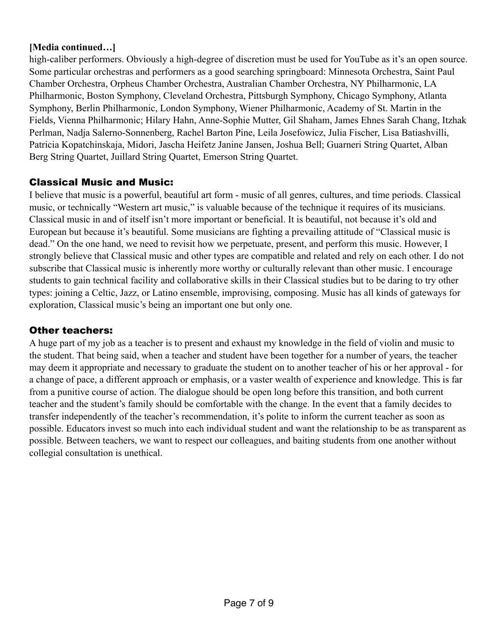#### **[Media continued…]**

high-caliber performers. Obviously a high-degree of discretion must be used for YouTube as it's an open source. Some particular orchestras and performers as a good searching springboard: Minnesota Orchestra, Saint Paul Chamber Orchestra, Orpheus Chamber Orchestra, Australian Chamber Orchestra, NY Philharmonic, LA Philharmonic, Boston Symphony, Cleveland Orchestra, Pittsburgh Symphony, Chicago Symphony, Atlanta Symphony, Berlin Philharmonic, London Symphony, Wiener Philharmonic, Academy of St. Martin in the Fields, Vienna Philharmonic; Hilary Hahn, Anne-Sophie Mutter, Gil Shaham, James Ehnes Sarah Chang, Itzhak Perlman, Nadja Salerno-Sonnenberg, Rachel Barton Pine, Leila Josefowicz, Julia Fischer, Lisa Batiashvilli, Patricia Kopatchinskaja, Midori, Jascha Heifetz Janine Jansen, Joshua Bell; Guarneri String Quartet, Alban Berg String Quartet, Juillard String Quartet, Emerson String Quartet.

# Classical Music and Music:

I believe that music is a powerful, beautiful art form - music of all genres, cultures, and time periods. Classical music, or technically "Western art music," is valuable because of the technique it requires of its musicians. Classical music in and of itself isn't more important or beneficial. It is beautiful, not because it's old and European but because it's beautiful. Some musicians are fighting a prevailing attitude of "Classical music is dead." On the one hand, we need to revisit how we perpetuate, present, and perform this music. However, I strongly believe that Classical music and other types are compatible and related and rely on each other. I do not subscribe that Classical music is inherently more worthy or culturally relevant than other music. I encourage students to gain technical facility and collaborative skills in their Classical studies but to be daring to try other types: joining a Celtic, Jazz, or Latino ensemble, improvising, composing. Music has all kinds of gateways for exploration, Classical music's being an important one but only one.

# Other teachers:

A huge part of my job as a teacher is to present and exhaust my knowledge in the field of violin and music to the student. That being said, when a teacher and student have been together for a number of years, the teacher may deem it appropriate and necessary to graduate the student on to another teacher of his or her approval - for a change of pace, a different approach or emphasis, or a vaster wealth of experience and knowledge. This is far from a punitive course of action. The dialogue should be open long before this transition, and both current teacher and the student's family should be comfortable with the change. In the event that a family decides to transfer independently of the teacher's recommendation, it's polite to inform the current teacher as soon as possible. Educators invest so much into each individual student and want the relationship to be as transparent as possible. Between teachers, we want to respect our colleagues, and baiting students from one another without collegial consultation is unethical.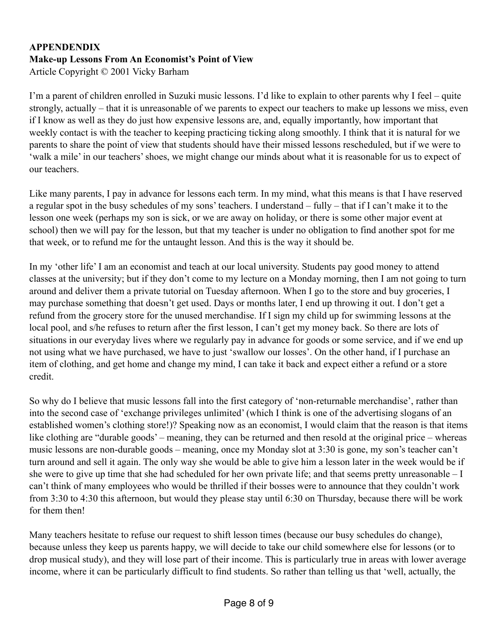# **APPENDENDIX Make-up Lessons From An Economist's Point of View**

Article Copyright © 2001 Vicky Barham

I'm a parent of children enrolled in Suzuki music lessons. I'd like to explain to other parents why I feel – quite strongly, actually – that it is unreasonable of we parents to expect our teachers to make up lessons we miss, even if I know as well as they do just how expensive lessons are, and, equally importantly, how important that weekly contact is with the teacher to keeping practicing ticking along smoothly. I think that it is natural for we parents to share the point of view that students should have their missed lessons rescheduled, but if we were to 'walk a mile' in our teachers' shoes, we might change our minds about what it is reasonable for us to expect of our teachers.

Like many parents, I pay in advance for lessons each term. In my mind, what this means is that I have reserved a regular spot in the busy schedules of my sons' teachers. I understand – fully – that if I can't make it to the lesson one week (perhaps my son is sick, or we are away on holiday, or there is some other major event at school) then we will pay for the lesson, but that my teacher is under no obligation to find another spot for me that week, or to refund me for the untaught lesson. And this is the way it should be.

In my 'other life' I am an economist and teach at our local university. Students pay good money to attend classes at the university; but if they don't come to my lecture on a Monday morning, then I am not going to turn around and deliver them a private tutorial on Tuesday afternoon. When I go to the store and buy groceries, I may purchase something that doesn't get used. Days or months later, I end up throwing it out. I don't get a refund from the grocery store for the unused merchandise. If I sign my child up for swimming lessons at the local pool, and s/he refuses to return after the first lesson, I can't get my money back. So there are lots of situations in our everyday lives where we regularly pay in advance for goods or some service, and if we end up not using what we have purchased, we have to just 'swallow our losses'. On the other hand, if I purchase an item of clothing, and get home and change my mind, I can take it back and expect either a refund or a store credit.

So why do I believe that music lessons fall into the first category of 'non-returnable merchandise', rather than into the second case of 'exchange privileges unlimited' (which I think is one of the advertising slogans of an established women's clothing store!)? Speaking now as an economist, I would claim that the reason is that items like clothing are "durable goods' – meaning, they can be returned and then resold at the original price – whereas music lessons are non-durable goods – meaning, once my Monday slot at 3:30 is gone, my son's teacher can't turn around and sell it again. The only way she would be able to give him a lesson later in the week would be if she were to give up time that she had scheduled for her own private life; and that seems pretty unreasonable – I can't think of many employees who would be thrilled if their bosses were to announce that they couldn't work from 3:30 to 4:30 this afternoon, but would they please stay until 6:30 on Thursday, because there will be work for them then!

Many teachers hesitate to refuse our request to shift lesson times (because our busy schedules do change), because unless they keep us parents happy, we will decide to take our child somewhere else for lessons (or to drop musical study), and they will lose part of their income. This is particularly true in areas with lower average income, where it can be particularly difficult to find students. So rather than telling us that 'well, actually, the